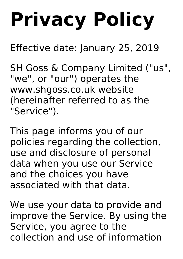# **Privacy Policy**

Effective date: January 25, 2019

SH Goss & Company Limited ("us" , "we" , or "our") operates the www.shgoss.co.uk website (hereinafter referred to as the "Service").

This page informs you of our policies regarding the collection, use and disclosure of personal data when you use our Service and the choices you have associated with that data.

We use your data to provide and improve the Service. By using the Service, you agree to the collection and use of information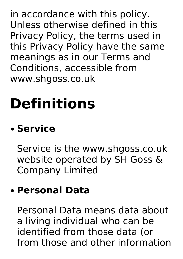in accordance with this policy. Unless otherwise defined in this Privacy Policy, the terms used in this Privacy Policy have the same meanings as in our Terms and Conditions, accessible from www.shgoss.co.uk

### **Definitions**

#### **Service**

Service is the www.shgoss.co.uk website operated by SH Goss & Company Limited

#### **Personal Data**

Personal Data means data about a living individual who can be identified from those data (or from those and other information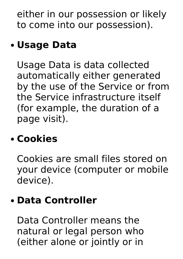either in our possession or likely to come into our possession).

#### **Usage Data**

Usage Data is data collected automatically either generated by the use of the Service or from the Service infrastructure itself (for example, the duration of a page visit).

#### **Cookies**

Cookies are small files stored on your device (computer or mobile device).

#### **Data Controller**

Data Controller means the natural or legal person who (either alone or jointly or in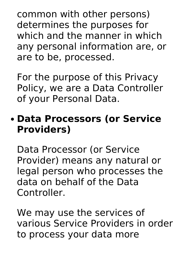common with other persons) determines the purposes for which and the manner in which any personal information are, or are to be, processed.

For the purpose of this Privacy Policy, we are a Data Controller of your Personal Data.

#### **Data Processors (or Service Providers)**

Data Processor (or Service Provider) means any natural or legal person who processes the data on behalf of the Data Controller.

We may use the services of various Service Providers in order to process your data more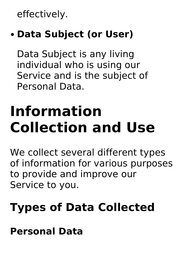effectively.

#### **Data Subject (or User)**

Data Subject is any living individual who is using our Service and is the subject of Personal Data.

### **Information Collection and Use**

We collect several different types of information for various purposes to provide and improve our Service to you.

#### **Types of Data Collected**

**Personal Data**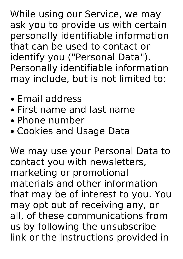While using our Service, we may ask you to provide us with certain personally identifiable information that can be used to contact or identify you ("Personal Data"). Personally identifiable information may include, but is not limited to:

- Email address
- First name and last name
- Phone number
- Cookies and Usage Data

We may use your Personal Data to contact you with newsletters, marketing or promotional materials and other information that may be of interest to you. You may opt out of receiving any, or all, of these communications from us by following the unsubscribe link or the instructions provided in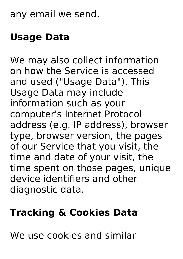#### any email we send.

#### **Usage Data**

We may also collect information on how the Service is accessed and used ("Usage Data"). This Usage Data may include information such as your computer's Internet Protocol address (e.g. IP address), browser type, browser version, the pages of our Service that you visit, the time and date of your visit, the time spent on those pages, unique device identifiers and other diagnostic data.

#### **Tracking & Cookies Data**

We use cookies and similar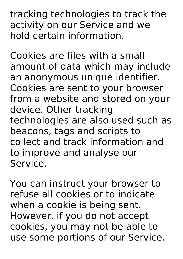tracking technologies to track the activity on our Service and we hold certain information.

Cookies are files with a small amount of data which may include an anonymous unique identifier. Cookies are sent to your browser from a website and stored on your device. Other tracking technologies are also used such as beacons, tags and scripts to collect and track information and to improve and analyse our Service.

You can instruct your browser to refuse all cookies or to indicate when a cookie is being sent. However, if you do not accept cookies, you may not be able to use some portions of our Service.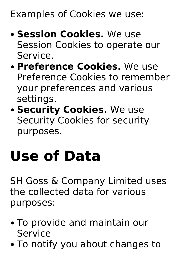Examples of Cookies we use:

- **Session Cookies.** We use Session Cookies to operate our Service.
- **Preference Cookies.** We use Preference Cookies to remember your preferences and various settings.
- **Security Cookies.** We use Security Cookies for security purposes.

### **Use of Data**

SH Goss & Company Limited uses the collected data for various purposes:

- To provide and maintain our Service
- To notify you about changes to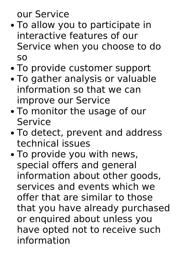our Service

- To allow you to participate in interactive features of our Service when you choose to do so
- To provide customer support
- To gather analysis or valuable information so that we can improve our Service
- To monitor the usage of our Service
- To detect, prevent and address technical issues
- To provide you with news, special offers and general information about other goods, services and events which we offer that are similar to those that you have already purchased or enquired about unless you have opted not to receive such information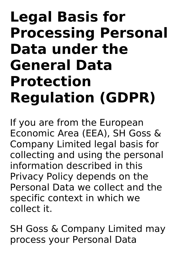#### **Legal Basis for Processing Personal Data under the General Data Protection Regulation (GDPR)**

If you are from the European Economic Area (EEA), SH Goss & Company Limited legal basis for collecting and using the personal information described in this Privacy Policy depends on the Personal Data we collect and the specific context in which we collect it.

SH Goss & Company Limited may process your Personal Data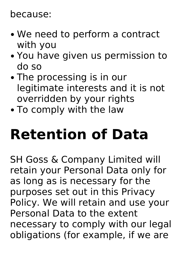#### because:

- We need to perform a contract with you
- You have given us permission to do so
- The processing is in our legitimate interests and it is not overridden by your rights
- To comply with the law

### **Retention of Data**

SH Goss & Company Limited will retain your Personal Data only for as long as is necessary for the purposes set out in this Privacy Policy. We will retain and use your Personal Data to the extent necessary to comply with our legal obligations (for example, if we are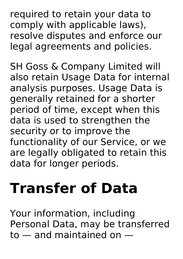required to retain your data to comply with applicable laws), resolve disputes and enforce our legal agreements and policies.

SH Goss & Company Limited will also retain Usage Data for internal analysis purposes. Usage Data is generally retained for a shorter period of time, except when this data is used to strengthen the security or to improve the functionality of our Service, or we are legally obligated to retain this data for longer periods.

### **Transfer of Data**

Your information, including Personal Data, may be transferred to — and maintained on —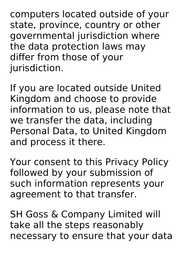computers located outside of your state, province, country or other governmental jurisdiction where the data protection laws may differ from those of your jurisdiction.

If you are located outside United Kingdom and choose to provide information to us, please note that we transfer the data, including Personal Data, to United Kingdom and process it there.

Your consent to this Privacy Policy followed by your submission of such information represents your agreement to that transfer.

SH Goss & Company Limited will take all the steps reasonably necessary to ensure that your data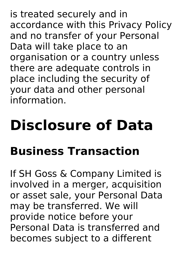is treated securely and in accordance with this Privacy Policy and no transfer of your Personal Data will take place to an organisation or a country unless there are adequate controls in place including the security of your data and other personal information.

# **Disclosure of Data Business Transaction**

If SH Goss & Company Limited is involved in a merger, acquisition or asset sale, your Personal Data may be transferred. We will provide notice before your Personal Data is transferred and becomes subject to a different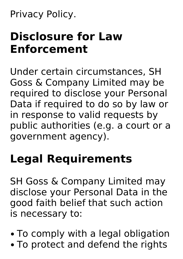Privacy Policy.

#### **Disclosure for Law Enforcement**

Under certain circumstances, SH Goss & Company Limited may be required to disclose your Personal Data if required to do so by law or in response to valid requests by public authorities (e.g. a court or a government agency).

#### **Legal Requirements**

SH Goss & Company Limited may disclose your Personal Data in the good faith belief that such action is necessary to:

- To comply with a legal obligation
- To protect and defend the rights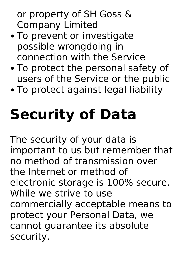or property of SH Goss & Company Limited

- To prevent or investigate possible wrongdoing in connection with the Service
- To protect the personal safety of users of the Service or the public
- To protect against legal liability

# **Security of Data**

The security of your data is important to us but remember that no method of transmission over the Internet or method of electronic storage is 100% secure. While we strive to use commercially acceptable means to protect your Personal Data, we cannot guarantee its absolute security.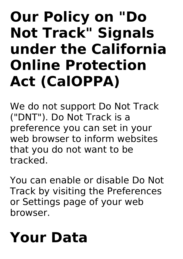### **Our Policy on "Do Not Track" Signals under the California Online Protection Act (CalOPPA)**

We do not support Do Not Track ("DNT"). Do Not Track is a preference you can set in your web browser to inform websites that you do not want to be tracked.

You can enable or disable Do Not Track by visiting the Preferences or Settings page of your web browser.

### **Your Data**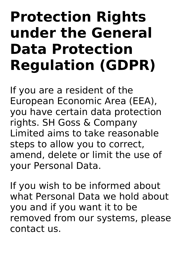### **Protection Rights under the General Data Protection Regulation (GDPR)**

If you are a resident of the European Economic Area (EEA), you have certain data protection rights. SH Goss & Company Limited aims to take reasonable steps to allow you to correct, amend, delete or limit the use of your Personal Data.

If you wish to be informed about what Personal Data we hold about you and if you want it to be removed from our systems, please contact us.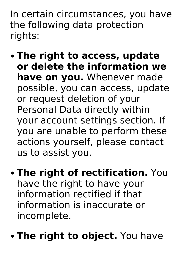In certain circumstances, you have the following data protection rights:

- **The right to access, update or delete the information we have on you.** Whenever made possible, you can access, update or request deletion of your Personal Data directly within your account settings section. If you are unable to perform these actions yourself, please contact us to assist you.
- **The right of rectification.** You have the right to have your information rectified if that information is inaccurate or incomplete.
- **The right to object.** You have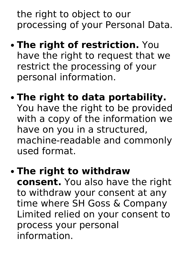the right to object to our processing of your Personal Data.

- **The right of restriction.** You have the right to request that we restrict the processing of your personal information.
- **The right to data portability.** You have the right to be provided with a copy of the information we have on you in a structured, machine-readable and commonly used format.
- **The right to withdraw consent.** You also have the right to withdraw your consent at any time where SH Goss & Company Limited relied on your consent to process your personal information.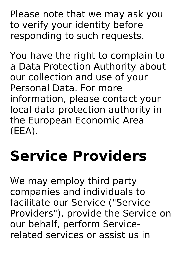Please note that we may ask you to verify your identity before responding to such requests.

You have the right to complain to a Data Protection Authority about our collection and use of your Personal Data. For more information, please contact your local data protection authority in the European Economic Area (EEA).

### **Service Providers**

We may employ third party companies and individuals to facilitate our Service ("Service Providers"), provide the Service on our behalf, perform Service related services or assist us in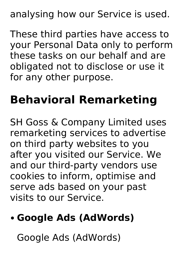analysing how our Service is used.

These third parties have access to your Personal Data only to perform these tasks on our behalf and are obligated not to disclose or use it for any other purpose.

#### **Behavioral Remarketing**

SH Goss & Company Limited uses remarketing services to advertise on third party websites to you after you visited our Service. We and our third-party vendors use cookies to inform, optimise and serve ads based on your past visits to our Service.

#### **Google Ads (AdWords)**

Google Ads (AdWords)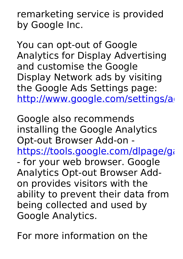remarketing service is provided by Google Inc.

You can opt-out of Google Analytics for Display Advertising and customise the Google Display Network ads by visiting the Google Ads Settings page: http://www.google.com/settings/ad

Google also recommends installing the Google Analytics Opt-out Browser Add-on https://tools.google.com/dlpage/ga - for your web browser. Google Analytics Opt-out Browser Add on provides visitors with the ability to prevent their data from being collected and used by Google Analytics.

For more information on the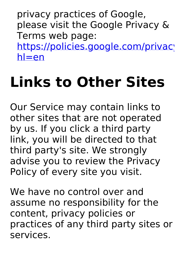privacy practices of Google, please visit the Google Privacy & Terms web page: https://policies.google.com/privacy  $h$ =en

### **Links to Other Sites**

Our Service may contain links to other sites that are not operated by us. If you click a third party link, you will be directed to that third party's site. We strongly advise you to review the Privacy Policy of every site you visit.

We have no control over and assume no responsibility for the content, privacy policies or practices of any third party sites or services.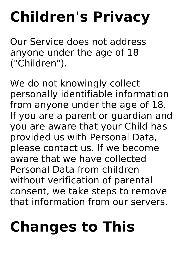### **Children's Privacy**

Our Service does not address anyone under the age of 18 ("Children").

We do not knowingly collect personally identifiable information from anyone under the age of 18. If you are a parent or guardian and you are aware that your Child has provided us with Personal Data, please contact us. If we become aware that we have collected Personal Data from children without verification of parental consent, we take steps to remove that information from our servers.

## **Changes to This**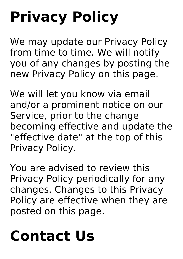# **Privacy Policy**

We may update our Privacy Policy from time to time. We will notify you of any changes by posting the new Privacy Policy on this page.

We will let you know via email and/or a prominent notice on our Service, prior to the change becoming effective and update the "effective date" at the top of this Privacy Policy.

You are advised to review this Privacy Policy periodically for any changes. Changes to this Privacy Policy are effective when they are posted on this page.

### **Contact Us**